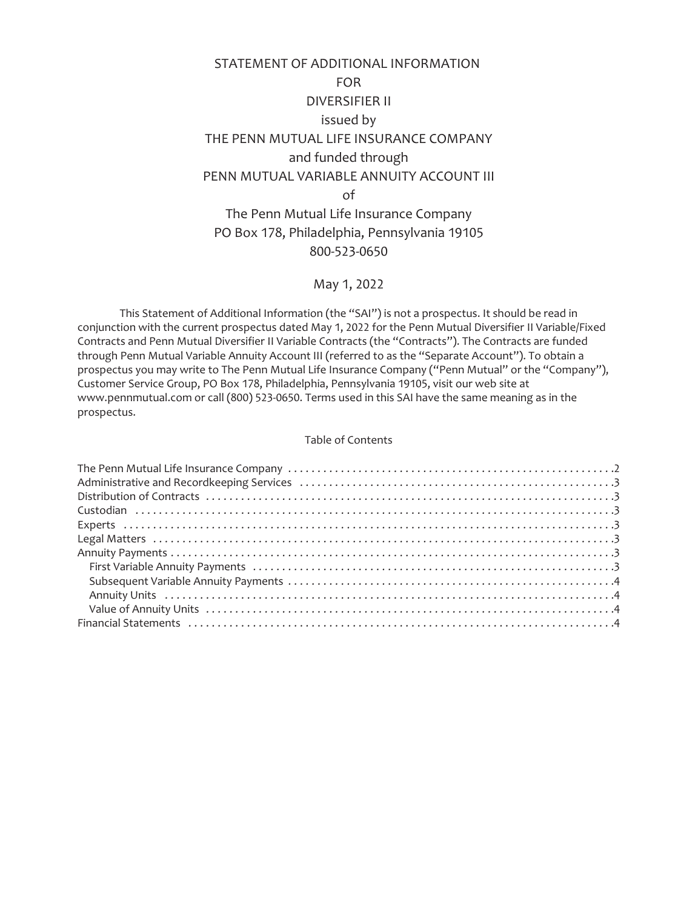# STATEMENT OF ADDITIONAL INFORMATION FOR DIVERSIFIER II issued by THE PENN MUTUAL LIFE INSURANCE COMPANY and funded through PENN MUTUAL VARIABLE ANNUITY ACCOUNT III of The Penn Mutual Life Insurance Company PO Box 178, Philadelphia, Pennsylvania 19105

# 800-523-0650

# May 1, 2022

This Statement of Additional Information (the "SAI") is not a prospectus. It should be read in conjunction with the current prospectus dated May 1, 2022 for the Penn Mutual Diversifier II Variable/Fixed Contracts and Penn Mutual Diversifier II Variable Contracts (the "Contracts"). The Contracts are funded through Penn Mutual Variable Annuity Account III (referred to as the "Separate Account"). To obtain a prospectus you may write to The Penn Mutual Life Insurance Company ("Penn Mutual" or the "Company"), Customer Service Group, PO Box 178, Philadelphia, Pennsylvania 19105, visit our web site at www.pennmutual.com or call (800) 523-0650. Terms used in this SAI have the same meaning as in the prospectus.

#### Table of Contents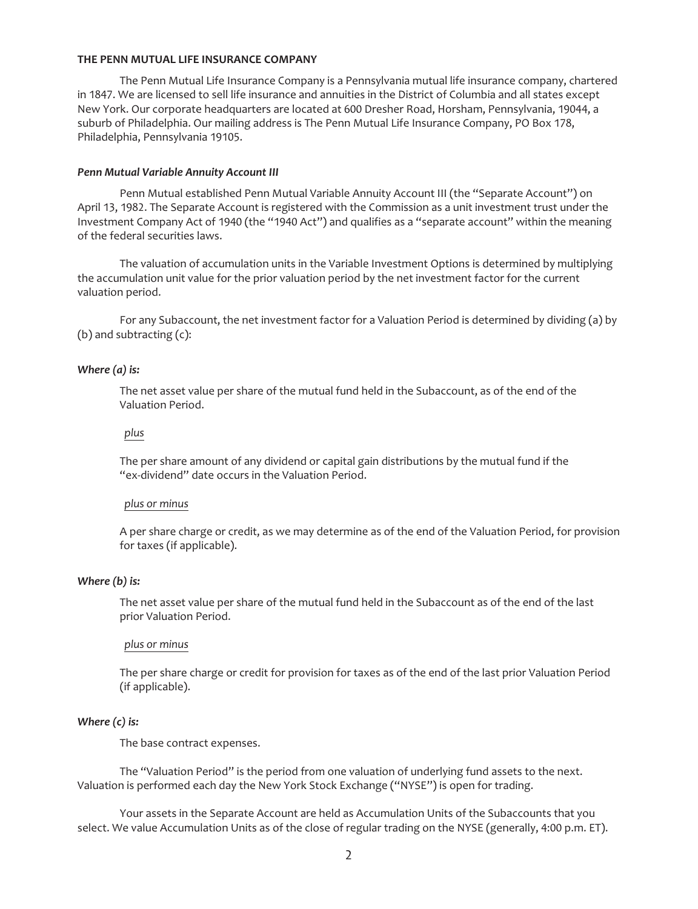#### <span id="page-1-0"></span>**THE PENN MUTUAL LIFE INSURANCE COMPANY**

The Penn Mutual Life Insurance Company is a Pennsylvania mutual life insurance company, chartered in 1847. We are licensed to sell life insurance and annuities in the District of Columbia and all states except New York. Our corporate headquarters are located at 600 Dresher Road, Horsham, Pennsylvania, 19044, a suburb of Philadelphia. Our mailing address is The Penn Mutual Life Insurance Company, PO Box 178, Philadelphia, Pennsylvania 19105.

#### *Penn Mutual Variable Annuity Account III*

Penn Mutual established Penn Mutual Variable Annuity Account III (the "Separate Account") on April 13, 1982. The Separate Account is registered with the Commission as a unit investment trust under the Investment Company Act of 1940 (the "1940 Act") and qualifies as a "separate account" within the meaning of the federal securities laws.

The valuation of accumulation units in the Variable Investment Options is determined by multiplying the accumulation unit value for the prior valuation period by the net investment factor for the current valuation period.

For any Subaccount, the net investment factor for a Valuation Period is determined by dividing (a) by (b) and subtracting (c):

#### *Where (a) is:*

The net asset value per share of the mutual fund held in the Subaccount, as of the end of the Valuation Period.

## *plus*

The per share amount of any dividend or capital gain distributions by the mutual fund if the "ex-dividend" date occurs in the Valuation Period.

## *plus or minus*

A per share charge or credit, as we may determine as of the end of the Valuation Period, for provision for taxes (if applicable).

#### *Where (b) is:*

The net asset value per share of the mutual fund held in the Subaccount as of the end of the last prior Valuation Period.

#### *plus or minus*

The per share charge or credit for provision for taxes as of the end of the last prior Valuation Period (if applicable).

## *Where (c) is:*

The base contract expenses.

The "Valuation Period" is the period from one valuation of underlying fund assets to the next. Valuation is performed each day the New York Stock Exchange ("NYSE") is open for trading.

Your assets in the Separate Account are held as Accumulation Units of the Subaccounts that you select. We value Accumulation Units as of the close of regular trading on the NYSE (generally, 4:00 p.m. ET).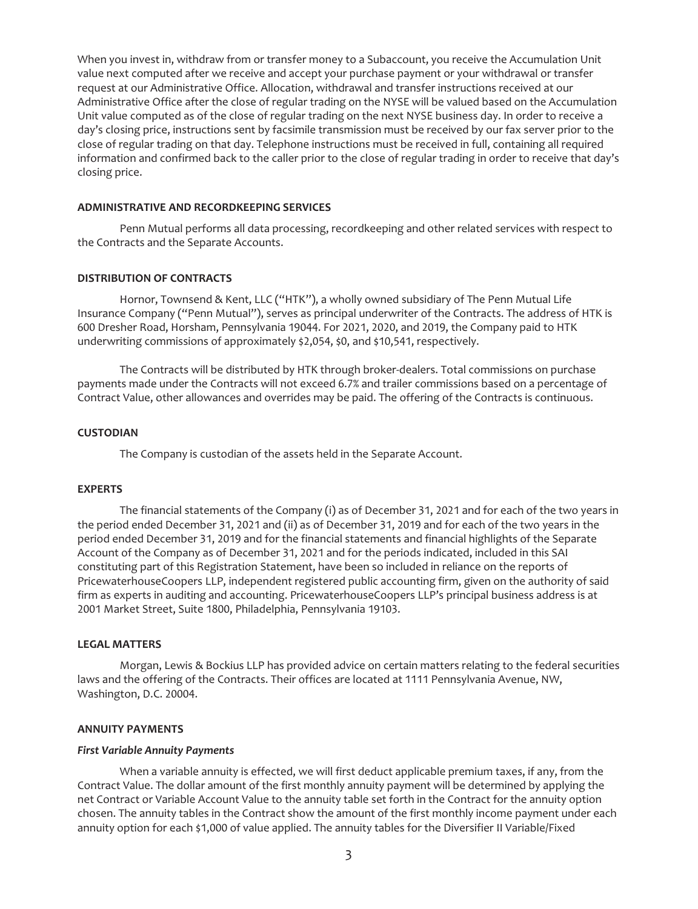When you invest in, withdraw from or transfer money to a Subaccount, you receive the Accumulation Unit value next computed after we receive and accept your purchase payment or your withdrawal or transfer request at our Administrative Office. Allocation, withdrawal and transfer instructions received at our Administrative Office after the close of regular trading on the NYSE will be valued based on the Accumulation Unit value computed as of the close of regular trading on the next NYSE business day. In order to receive a day's closing price, instructions sent by facsimile transmission must be received by our fax server prior to the close of regular trading on that day. Telephone instructions must be received in full, containing all required information and confirmed back to the caller prior to the close of regular trading in order to receive that day's closing price.

#### <span id="page-2-0"></span>**ADMINISTRATIVE AND RECORDKEEPING SERVICES**

Penn Mutual performs all data processing, recordkeeping and other related services with respect to the Contracts and the Separate Accounts.

### <span id="page-2-1"></span>**DISTRIBUTION OF CONTRACTS**

Hornor, Townsend & Kent, LLC ("HTK"), a wholly owned subsidiary of The Penn Mutual Life Insurance Company ("Penn Mutual"), serves as principal underwriter of the Contracts. The address of HTK is 600 Dresher Road, Horsham, Pennsylvania 19044. For 2021, 2020, and 2019, the Company paid to HTK underwriting commissions of approximately \$2,054, \$0, and \$10,541, respectively.

The Contracts will be distributed by HTK through broker-dealers. Total commissions on purchase payments made under the Contracts will not exceed 6.7% and trailer commissions based on a percentage of Contract Value, other allowances and overrides may be paid. The offering of the Contracts is continuous.

#### <span id="page-2-2"></span>**CUSTODIAN**

The Company is custodian of the assets held in the Separate Account.

#### <span id="page-2-3"></span>**EXPERTS**

The financial statements of the Company (i) as of December 31, 2021 and for each of the two years in the period ended December 31, 2021 and (ii) as of December 31, 2019 and for each of the two years in the period ended December 31, 2019 and for the financial statements and financial highlights of the Separate Account of the Company as of December 31, 2021 and for the periods indicated, included in this SAI constituting part of this Registration Statement, have been so included in reliance on the reports of PricewaterhouseCoopers LLP, independent registered public accounting firm, given on the authority of said firm as experts in auditing and accounting. PricewaterhouseCoopers LLP's principal business address is at 2001 Market Street, Suite 1800, Philadelphia, Pennsylvania 19103.

## <span id="page-2-4"></span>**LEGAL MATTERS**

Morgan, Lewis & Bockius LLP has provided advice on certain matters relating to the federal securities laws and the offering of the Contracts. Their offices are located at 1111 Pennsylvania Avenue, NW, Washington, D.C. 20004.

#### <span id="page-2-5"></span>**ANNUITY PAYMENTS**

#### <span id="page-2-6"></span>*First Variable Annuity Payments*

When a variable annuity is effected, we will first deduct applicable premium taxes, if any, from the Contract Value. The dollar amount of the first monthly annuity payment will be determined by applying the net Contract or Variable Account Value to the annuity table set forth in the Contract for the annuity option chosen. The annuity tables in the Contract show the amount of the first monthly income payment under each annuity option for each \$1,000 of value applied. The annuity tables for the Diversifier II Variable/Fixed